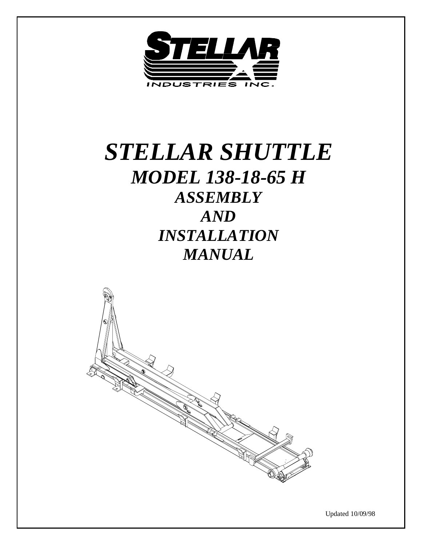

# *STELLAR SHUTTLE MODEL 138-18-65 H ASSEMBLY AND INSTALLATION MANUAL*



Updated 10/09/98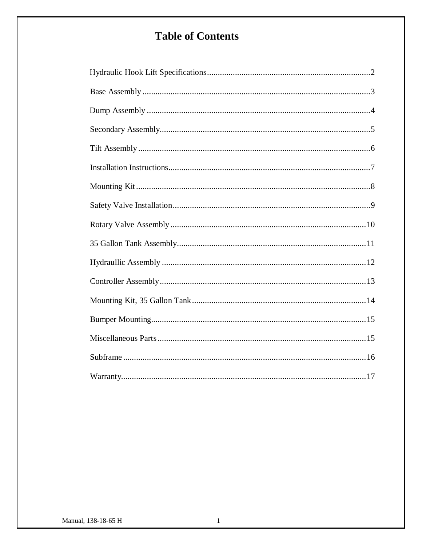## **Table of Contents**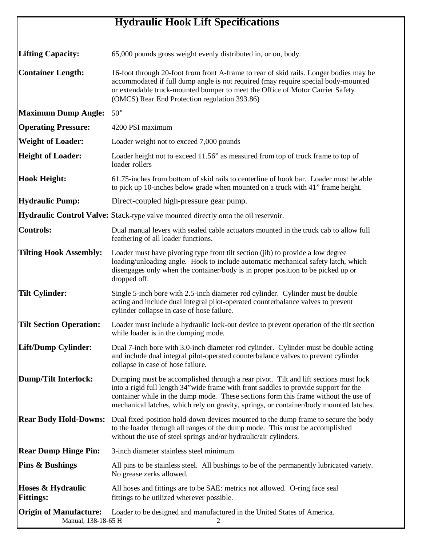## **Hydraulic Hook Lift Specifications**

| <b>Lifting Capacity:</b>                             | 65,000 pounds gross weight evenly distributed in, or on, body.                                                                                                                                                                                                                                                                                                |
|------------------------------------------------------|---------------------------------------------------------------------------------------------------------------------------------------------------------------------------------------------------------------------------------------------------------------------------------------------------------------------------------------------------------------|
| <b>Container Length:</b>                             | 16-foot through 20-foot from front A-frame to rear of skid rails. Longer bodies may be<br>accommodated if full dump angle is not required (may require special body-mounted<br>or extendable truck-mounted bumper to meet the Office of Motor Carrier Safety<br>(OMCS) Rear End Protection regulation 393.86)                                                 |
| <b>Maximum Dump Angle:</b>                           | $50^\circ$                                                                                                                                                                                                                                                                                                                                                    |
| <b>Operating Pressure:</b>                           | 4200 PSI maximum                                                                                                                                                                                                                                                                                                                                              |
| <b>Weight of Loader:</b>                             | Loader weight not to exceed 7,000 pounds                                                                                                                                                                                                                                                                                                                      |
| <b>Height of Loader:</b>                             | Loader height not to exceed 11.56" as measured from top of truck frame to top of<br>loader rollers                                                                                                                                                                                                                                                            |
| <b>Hook Height:</b>                                  | 61.75-inches from bottom of skid rails to centerline of hook bar. Loader must be able<br>to pick up 10-inches below grade when mounted on a truck with 41" frame height.                                                                                                                                                                                      |
| <b>Hydraulic Pump:</b>                               | Direct-coupled high-pressure gear pump.                                                                                                                                                                                                                                                                                                                       |
|                                                      | Hydraulic Control Valve: Stack-type valve mounted directly onto the oil reservoir.                                                                                                                                                                                                                                                                            |
| <b>Controls:</b>                                     | Dual manual levers with sealed cable actuators mounted in the truck cab to allow full<br>feathering of all loader functions.                                                                                                                                                                                                                                  |
| <b>Tilting Hook Assembly:</b>                        | Loader must have pivoting type front tilt section (jib) to provide a low degree<br>loading/unloading angle. Hook to include automatic mechanical safety latch, which<br>disengages only when the container/body is in proper position to be picked up or<br>dropped off.                                                                                      |
| <b>Tilt Cylinder:</b>                                | Single 5-inch bore with 2.5-inch diameter rod cylinder. Cylinder must be double<br>acting and include dual integral pilot-operated counterbalance valves to prevent<br>cylinder collapse in case of hose failure.                                                                                                                                             |
| <b>Tilt Section Operation:</b>                       | Loader must include a hydraulic lock-out device to prevent operation of the tilt section<br>while loader is in the dumping mode.                                                                                                                                                                                                                              |
| Lift/Dump Cylinder:                                  | Dual 7-inch bore with 3.0-inch diameter rod cylinder. Cylinder must be double acting<br>and include dual integral pilot-operated counterbalance valves to prevent cylinder<br>collapse in case of hose failure.                                                                                                                                               |
| <b>Dump/Tilt Interlock:</b>                          | Dumping must be accomplished through a rear pivot. Tilt and lift sections must lock<br>into a rigid full length 34" wide frame with front saddles to provide support for the<br>container while in the dump mode. These sections form this frame without the use of<br>mechanical latches, which rely on gravity, springs, or container/body mounted latches. |
| <b>Rear Body Hold-Downs:</b>                         | Dual fixed-position hold-down devices mounted to the dump frame to secure the body<br>to the loader through all ranges of the dump mode. This must be accomplished<br>without the use of steel springs and/or hydraulic/air cylinders.                                                                                                                        |
| <b>Rear Dump Hinge Pin:</b>                          | 3-inch diameter stainless steel minimum                                                                                                                                                                                                                                                                                                                       |
| <b>Pins &amp; Bushings</b>                           | All pins to be stainless steel. All bushings to be of the permanently lubricated variety.<br>No grease zerks allowed.                                                                                                                                                                                                                                         |
| Hoses & Hydraulic<br><b>Fittings:</b>                | All hoses and fittings are to be SAE: metrics not allowed. O-ring face seal<br>fittings to be utilized wherever possible.                                                                                                                                                                                                                                     |
| <b>Origin of Manufacture:</b><br>Manual, 138-18-65 H | Loader to be designed and manufactured in the United States of America.                                                                                                                                                                                                                                                                                       |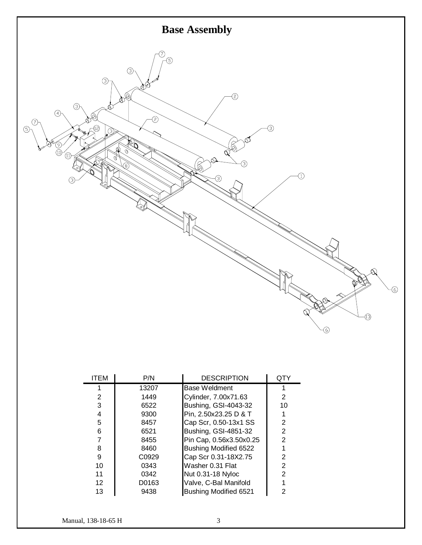

| <b>ITEM</b>     | P/N   | <b>DESCRIPTION</b>           | QTY            |
|-----------------|-------|------------------------------|----------------|
|                 | 13207 | Base Weldment                |                |
| 2               | 1449  | Cylinder, 7.00x71.63         | 2              |
| 3               | 6522  | Bushing, GSI-4043-32         | 10             |
| 4               | 9300  | Pin, 2.50x23.25 D & T        |                |
| 5               | 8457  | Cap Scr, 0.50-13x1 SS        | 2              |
| 6               | 6521  | Bushing, GSI-4851-32         | $\overline{2}$ |
| 7               | 8455  | Pin Cap, 0.56x3.50x0.25      | $\overline{2}$ |
| 8               | 8460  | Bushing Modified 6522        |                |
| 9               | C0929 | Cap Scr 0.31-18X2.75         | 2              |
| 10              | 0343  | Washer 0.31 Flat             | $\overline{2}$ |
| 11              | 0342  | Nut 0.31-18 Nyloc            | 2              |
| 12 <sup>2</sup> | D0163 | Valve, C-Bal Manifold        |                |
| 13              | 9438  | <b>Bushing Modified 6521</b> | 2              |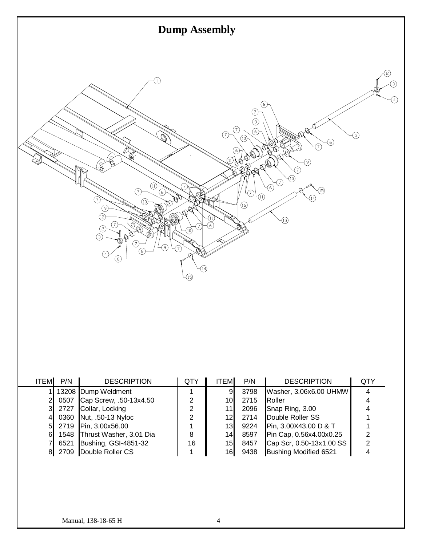

| <b>ITEM</b> | P/N  | <b>DESCRIPTION</b>           | QTY | <b>ITEM</b>     | P/N  | <b>DESCRIPTION</b>       | QTY |
|-------------|------|------------------------------|-----|-----------------|------|--------------------------|-----|
|             |      | 13208 Dump Weldment          |     | 9               | 3798 | Washer, 3.06x6.00 UHMW   |     |
|             | 0507 | Cap Screw, .50-13x4.50       | 2   | 101             | 2715 | Roller                   |     |
|             | 2727 | Collar, Locking              | 2   | 11 <sub>1</sub> | 2096 | Snap Ring, 3.00          | 4   |
|             | 0360 | Nut, .50-13 Nyloc            | 2   | 12              | 2714 | Double Roller SS         |     |
| 5           | 2719 | Pin, 3.00x56.00              |     | 13 <sub>l</sub> | 9224 | Pin, 3.00X43.00 D & T    |     |
| 61          |      | 1548 Thrust Washer, 3.01 Dia | 8   | 14              | 8597 | Pin Cap, 0.56x4.00x0.25  |     |
|             | 6521 | Bushing, GSI-4851-32         | 16  | 15              | 8457 | Cap Scr, 0.50-13x1.00 SS | 2   |
|             | 2709 | Double Roller CS             |     | 16 <sub>l</sub> | 9438 | Bushing Modified 6521    |     |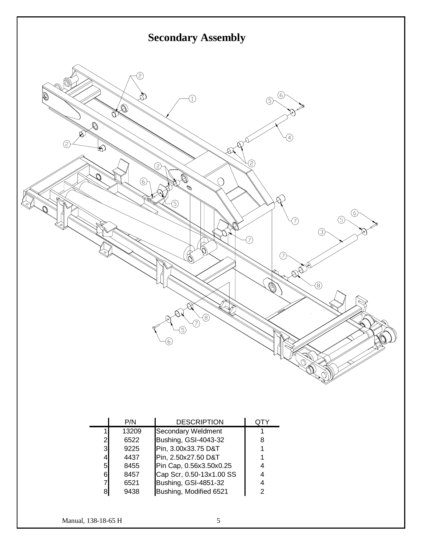

|                | P/N   | <b>DESCRIPTION</b>          |   |
|----------------|-------|-----------------------------|---|
|                | 13209 | Secondary Weldment          |   |
| $\overline{2}$ | 6522  | Bushing, GSI-4043-32        | 8 |
| $\mathbf{3}$   | 9225  | Pin, 3.00x33.75 D&T         |   |
| 4              | 4437  | Pin, 2.50x27.50 D&T         |   |
| $5 \mid$       | 8455  | Pin Cap, 0.56x3.50x0.25     |   |
| 61             | 8457  | Cap Scr, 0.50-13x1.00 SS    |   |
| 7              | 6521  | <b>Bushing, GSI-4851-32</b> |   |
| 8              | 9438  | Bushing, Modified 6521      | っ |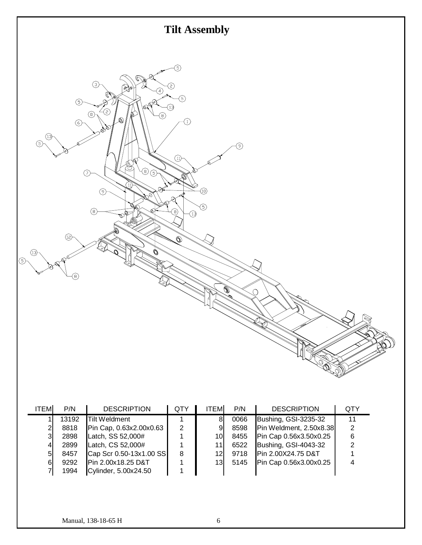

| ITEM | P/N   | <b>DESCRIPTION</b>      | QTY | <b>ITEM</b>     | P/N  | <b>DESCRIPTION</b>      | QTY |
|------|-------|-------------------------|-----|-----------------|------|-------------------------|-----|
|      | 13192 | <b>Tilt Weldment</b>    |     | 8               | 0066 | Bushing, GSI-3235-32    | 11  |
|      | 8818  | Pin Cap, 0.63x2.00x0.63 | 2   | 9               | 8598 | Pin Weldment, 2.50x8.38 | 2   |
| 31   | 2898  | Latch, SS 52,000#       |     | 10I             | 8455 | Pin Cap 0.56x3.50x0.25  | 6   |
| 4    | 2899  | Latch, CS 52,000#       |     | 11              | 6522 | Bushing, GSI-4043-32    |     |
| 5    | 8457  | Cap Scr 0.50-13x1.00 SS | 8   | 12I             | 9718 | Pin 2.00X24.75 D&T      |     |
| 61   | 9292  | Pin 2.00x18.25 D&T      |     | 13 <sup>l</sup> | 5145 | Pin Cap 0.56x3.00x0.25  |     |
|      | 1994  | Cylinder, 5.00x24.50    |     |                 |      |                         |     |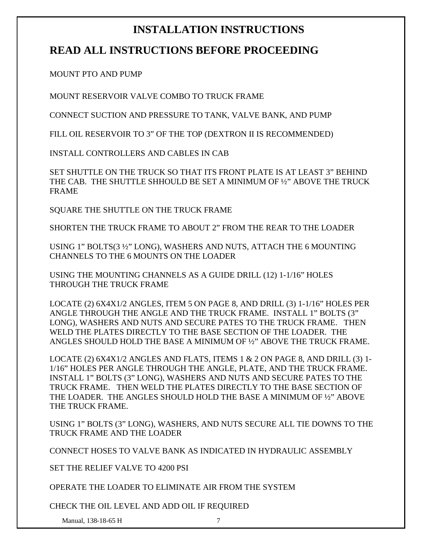## **INSTALLATION INSTRUCTIONS**

## **READ ALL INSTRUCTIONS BEFORE PROCEEDING**

MOUNT PTO AND PUMP

MOUNT RESERVOIR VALVE COMBO TO TRUCK FRAME

CONNECT SUCTION AND PRESSURE TO TANK, VALVE BANK, AND PUMP

FILL OIL RESERVOIR TO 3" OF THE TOP (DEXTRON II IS RECOMMENDED)

INSTALL CONTROLLERS AND CABLES IN CAB

SET SHUTTLE ON THE TRUCK SO THAT ITS FRONT PLATE IS AT LEAST 3" BEHIND THE CAB. THE SHUTTLE SHHOULD BE SET A MINIMUM OF ½" ABOVE THE TRUCK FRAME

SQUARE THE SHUTTLE ON THE TRUCK FRAME

SHORTEN THE TRUCK FRAME TO ABOUT 2" FROM THE REAR TO THE LOADER

USING 1" BOLTS(3 ½" LONG), WASHERS AND NUTS, ATTACH THE 6 MOUNTING CHANNELS TO THE 6 MOUNTS ON THE LOADER

USING THE MOUNTING CHANNELS AS A GUIDE DRILL (12) 1-1/16" HOLES THROUGH THE TRUCK FRAME

LOCATE (2) 6X4X1/2 ANGLES, ITEM 5 ON PAGE 8, AND DRILL (3) 1-1/16" HOLES PER ANGLE THROUGH THE ANGLE AND THE TRUCK FRAME. INSTALL 1" BOLTS (3" LONG), WASHERS AND NUTS AND SECURE PATES TO THE TRUCK FRAME. THEN WELD THE PLATES DIRECTLY TO THE BASE SECTION OF THE LOADER. THE ANGLES SHOULD HOLD THE BASE A MINIMUM OF ½" ABOVE THE TRUCK FRAME.

LOCATE (2)  $6X4X1/2$  ANGLES AND FLATS, ITEMS 1 & 2 ON PAGE 8, AND DRILL (3) 1-1/16" HOLES PER ANGLE THROUGH THE ANGLE, PLATE, AND THE TRUCK FRAME. INSTALL 1" BOLTS (3" LONG), WASHERS AND NUTS AND SECURE PATES TO THE TRUCK FRAME. THEN WELD THE PLATES DIRECTLY TO THE BASE SECTION OF THE LOADER. THE ANGLES SHOULD HOLD THE BASE A MINIMUM OF ½" ABOVE THE TRUCK FRAME.

USING 1" BOLTS (3" LONG), WASHERS, AND NUTS SECURE ALL TIE DOWNS TO THE TRUCK FRAME AND THE LOADER

CONNECT HOSES TO VALVE BANK AS INDICATED IN HYDRAULIC ASSEMBLY

SET THE RELIEF VALVE TO 4200 PSI

OPERATE THE LOADER TO ELIMINATE AIR FROM THE SYSTEM

CHECK THE OIL LEVEL AND ADD OIL IF REQUIRED

Manual, 138-18-65 H 7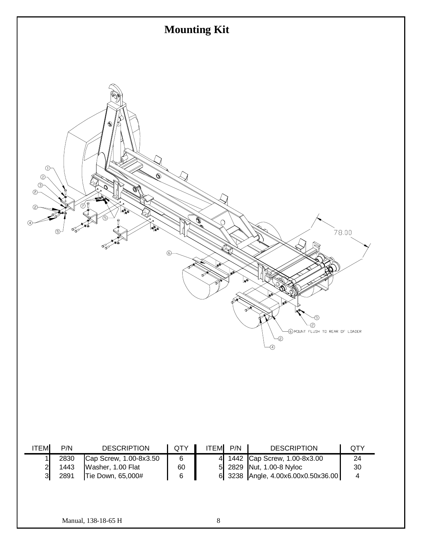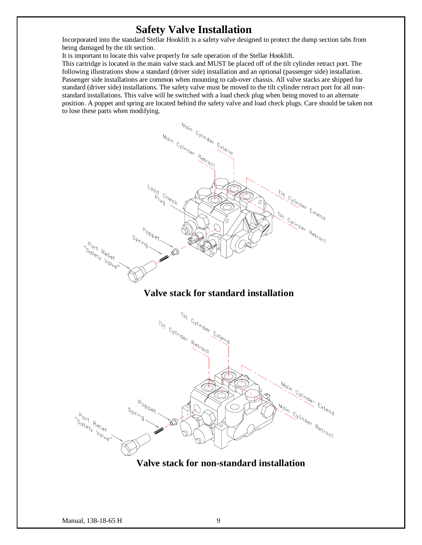### **Safety Valve Installation**

Incorporated into the standard Stellar Hooklift is a safety valve designed to protect the dump section tabs from being damaged by the tilt section.

It is important to locate this valve properly for safe operation of the Stellar Hooklift.

This cartridge is located in the main valve stack and MUST be placed off of the tilt cylinder retract port. The following illustrations show a standard (driver side) installation and an optional (passenger side) installation. Passenger side installations are common when mounting to cab-over chassis. All valve stacks are shipped for standard (driver side) installations. The safety valve must be moved to the tilt cylinder retract port for all nonstandard installations. This valve will be switched with a load check plug when being moved to an alternate position. A poppet and spring are located behind the safety valve and load check plugs. Care should be taken not to lose these parts when modifying.



### **Valve stack for standard installation**



**Valve stack for non-standard installation**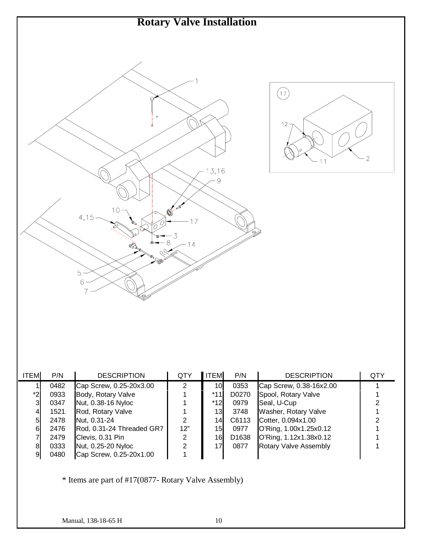

| <b>ITEM</b> | P/N  | <b>DESCRIPTION</b>        | QTY | <b>ITEM</b>     | P/N               | <b>DESCRIPTION</b>           | QTY |
|-------------|------|---------------------------|-----|-----------------|-------------------|------------------------------|-----|
|             | 0482 | Cap Screw, 0.25-20x3.00   | 2   | 10 <sub>l</sub> | 0353              | Cap Screw, 0.38-16x2.00      |     |
| *2          | 0933 | Body, Rotary Valve        |     | *11             | D0270             | Spool, Rotary Valve          |     |
| 3           | 0347 | Nut, 0.38-16 Nyloc        |     | $*12$           | 0979              | Seal, U-Cup                  |     |
| 41          | 1521 | Rod, Rotary Valve         |     | 13              | 3748              | Washer, Rotary Valve         |     |
| 51          | 2478 | Nut, 0.31-24              | 2   | 14              | C6113             | Cotter, 0.094x1.00           |     |
| 61          | 2476 | Rod, 0.31-24 Threaded GR7 | 12" | 15 <sub>l</sub> | 0977              | O'Ring, 1.00x1.25x0.12       |     |
|             | 2479 | Clevis, 0.31 Pin          | 2   | 16              | D <sub>1638</sub> | O'Ring, 1.12x1.38x0.12       |     |
| 81          | 0333 | Nut, 0.25-20 Nyloc        | 2   | 17              | 0877              | <b>Rotary Valve Assembly</b> |     |
| 91          | 0480 | Cap Screw, 0.25-20x1.00   |     |                 |                   |                              |     |

\* Items are part of #17(0877- Rotary Valve Assembly)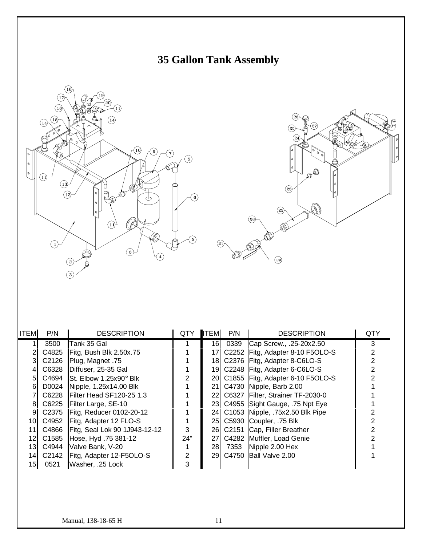





| <b>ITEM</b> | P/N   | <b>DESCRIPTION</b>                     | <b>QTY</b> | <b>ITEM</b> | P/N  | <b>DESCRIPTION</b>                  | QTY |
|-------------|-------|----------------------------------------|------------|-------------|------|-------------------------------------|-----|
|             | 3500  | Tank 35 Gal                            |            | 16          | 0339 | Cap Screw., .25-20x2.50             | 3   |
|             | C4825 | Fitg, Bush Blk 2.50x.75                |            | 17I         |      | C2252 Fitg, Adapter 8-10 F5OLO-S    |     |
|             | C2126 | Plug, Magnet .75                       |            |             |      | 18 C2376 Fitg, Adapter 8-C6LO-S     |     |
|             | C6328 | Diffuser, 25-35 Gal                    |            |             |      | 19 C2248 Fitg, Adapter 6-C6LO-S     |     |
| 51          |       | C4694 St. Elbow 1.25x90 $^{\circ}$ Blk |            |             |      | 20 C1855 Fitg, Adapter 6-10 F5OLO-S |     |
| 61          |       | D0024 Nipple, 1.25x14.00 Blk           |            |             |      | 21 C4730 Nipple, Barb 2.00          |     |
|             | C6228 | Filter Head SF120-25 1.3               |            |             |      | 22 C6327 Filter, Strainer TF-2030-0 |     |
| 81          |       | C6225 Filter Large, SE-10              |            |             |      | 23 C4955 Sight Gauge, 75 Npt Eye    |     |
| 9           |       | C2375   Fitg, Reducer 0102-20-12       |            |             |      | 24 C1053 Nipple, 75x2.50 Blk Pipe   |     |
| 10          |       | C4952   Fitg, Adapter 12 FLO-S         |            |             |      | 25 C5930 Coupler, 75 Blk            |     |
| 11I         |       | C4866 Fitg, Seal Lok 90 1J943-12-12    | 3          |             |      | 26 C2151 Cap, Filler Breather       |     |
| 12I         | C1585 | Hose, Hyd. 75 381-12                   | 24"        |             |      | 27 C4282 Muffler, Load Genie        |     |
| 13I         | C4944 | Valve Bank, V-20                       |            | 28          |      | 7353 Nipple 2.00 Hex                |     |
| 14I         |       | C2142 Fitg, Adapter 12-F5OLO-S         | 2          |             |      | 29 C4750 Ball Valve 2.00            |     |
| 15I         | 0521  | Washer, .25 Lock                       | 3          |             |      |                                     |     |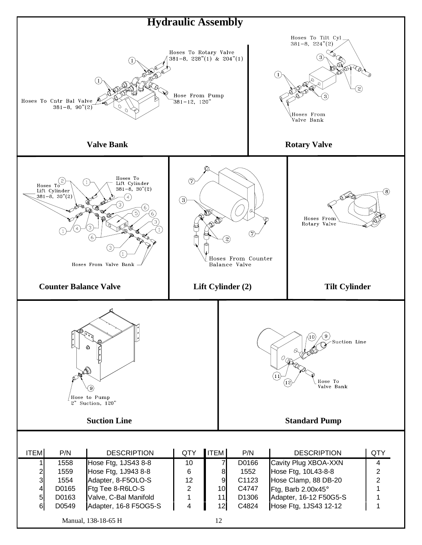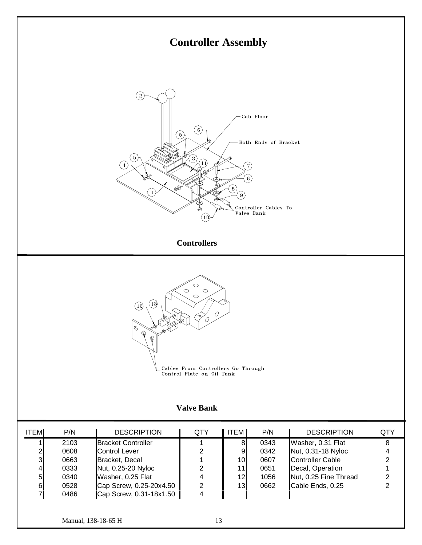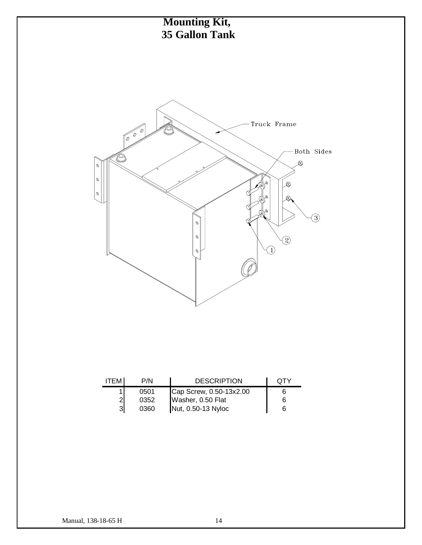

| <b>ITEM</b> | P/N  | <b>DESCRIPTION</b>                      | OTY |
|-------------|------|-----------------------------------------|-----|
|             | 0501 | Cap Screw, 0.50-13x2.00                 |     |
|             | 0352 | Washer, 0.50 Flat<br>Nut, 0.50-13 Nyloc | 6   |
| 31          | 0360 |                                         | 6   |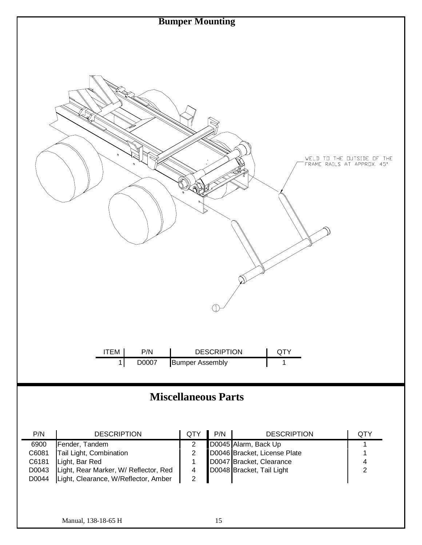

## **Miscellaneous Parts**

| P/N   | <b>DESCRIPTION</b>                    | <b>QTY</b> | P/N | <b>DESCRIPTION</b>           | QTY |
|-------|---------------------------------------|------------|-----|------------------------------|-----|
| 6900  | Fender, Tandem                        |            |     | D0045 Alarm, Back Up         |     |
| C6081 | Tail Light, Combination               |            |     | D0046 Bracket, License Plate |     |
| C6181 | Light, Bar Red                        |            |     | D0047 Bracket, Clearance     |     |
| D0043 | Light, Rear Marker, W/ Reflector, Red |            |     | D0048 Bracket, Tail Light    |     |
| D0044 | Light, Clearance, W/Reflector, Amber  |            |     |                              |     |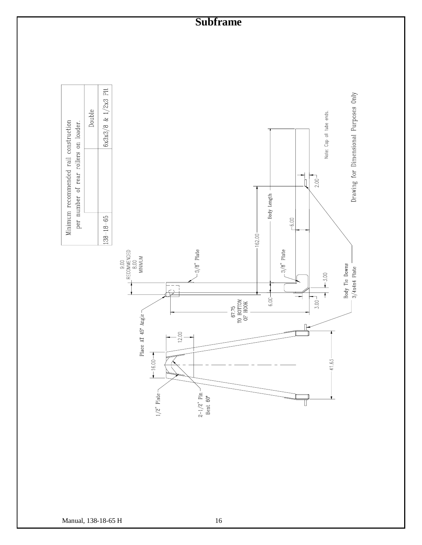## **Subframe**